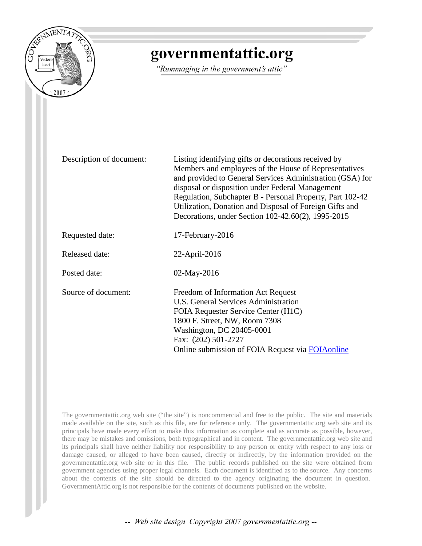

## governmentattic.org

"Rummaging in the government's attic"

| Description of document: | Listing identifying gifts or decorations received by<br>Members and employees of the House of Representatives<br>and provided to General Services Administration (GSA) for<br>disposal or disposition under Federal Management<br>Regulation, Subchapter B - Personal Property, Part 102-42<br>Utilization, Donation and Disposal of Foreign Gifts and<br>Decorations, under Section 102-42.60(2), 1995-2015 |
|--------------------------|--------------------------------------------------------------------------------------------------------------------------------------------------------------------------------------------------------------------------------------------------------------------------------------------------------------------------------------------------------------------------------------------------------------|
| Requested date:          | 17-February-2016                                                                                                                                                                                                                                                                                                                                                                                             |
| <b>Released date:</b>    | 22-April-2016                                                                                                                                                                                                                                                                                                                                                                                                |
| Posted date:             | 02-May-2016                                                                                                                                                                                                                                                                                                                                                                                                  |
| Source of document:      | Freedom of Information Act Request<br>U.S. General Services Administration<br>FOIA Requester Service Center (H1C)<br>1800 F. Street, NW, Room 7308<br>Washington, DC 20405-0001<br>Fax: (202) 501-2727<br>Online submission of FOIA Request via FOIA online                                                                                                                                                  |

The governmentattic.org web site ("the site") is noncommercial and free to the public. The site and materials made available on the site, such as this file, are for reference only. The governmentattic.org web site and its principals have made every effort to make this information as complete and as accurate as possible, however, there may be mistakes and omissions, both typographical and in content. The governmentattic.org web site and its principals shall have neither liability nor responsibility to any person or entity with respect to any loss or damage caused, or alleged to have been caused, directly or indirectly, by the information provided on the governmentattic.org web site or in this file. The public records published on the site were obtained from government agencies using proper legal channels. Each document is identified as to the source. Any concerns about the contents of the site should be directed to the agency originating the document in question. GovernmentAttic.org is not responsible for the contents of documents published on the website.

-- Web site design Copyright 2007 governmentattic.org --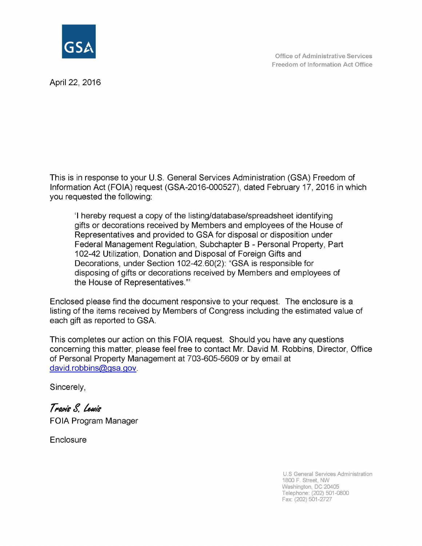

Office of Administrative Services Freedom of Information Act Office

April 22, 2016

This is in response to your U.S. General Services Administration (GSA) Freedom of Information Act (FOIA) request (GSA-2016-000527), dated February 17, 2016 in which you requested the following:

'I hereby request a copy of the listing/database/spreadsheet identifying gifts or decorations received by Members and employees of the House of Representatives and provided to GSA for disposal or disposition under Federal Management Regulation, Subchapter B - Personal Property, Part 102-42 Utilization, Donation and Disposal of Foreign Gifts and Decorations, under Section 102-42.60(2): "GSA is responsible for disposing of gifts or decorations received by Members and employees of the House of Representatives."'

Enclosed please find the document responsive to your request. The enclosure is a listing of the items received by Members of Congress including the estimated value of each gift as reported to GSA.

This completes our action on this FOIA request. Should you have any questions concerning this matter, please feel free to contact Mr. David M. Robbins, Director, Office of Personal Property Management at 703-605-5609 or by email at david. robbins@gsa.gov.

Sincerely,

 $T$ ravis S. Lewis FOIA Program Manager

**Enclosure** 

U.S General Services Administration 1800 F. Street, NW Washington, DC 20405 Telephone: (202) 501-0800 Fax: (202) 501-2727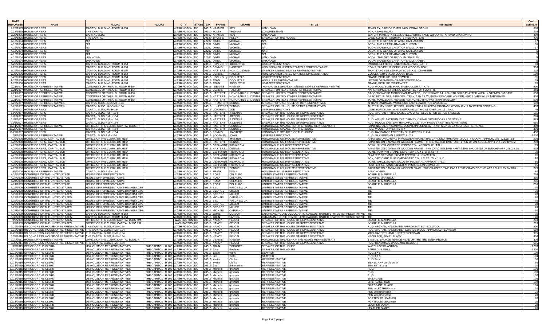| <b>DATE</b>                                                                                                                                              |                                                                            |                                                                                                  |                                       |                            |                                                      |                                  |                                                                                                                                                        |                                                                                                                                                     | Cost            |
|----------------------------------------------------------------------------------------------------------------------------------------------------------|----------------------------------------------------------------------------|--------------------------------------------------------------------------------------------------|---------------------------------------|----------------------------|------------------------------------------------------|----------------------------------|--------------------------------------------------------------------------------------------------------------------------------------------------------|-----------------------------------------------------------------------------------------------------------------------------------------------------|-----------------|
| <b>REPORTED</b><br><b>NAME</b>                                                                                                                           | ADDR1                                                                      | ADDR2                                                                                            | <b>CITY</b>                           | STATE ZIP   FNAME          |                                                      | <b>LNAME</b>                     | <b>TITLE</b>                                                                                                                                           | <b>Item Name</b>                                                                                                                                    | <b>Estimate</b> |
| 2/28/1995 HOUSE OF REPS<br>2/28/1995 HOUSE OF REPS                                                                                                       | CAPITOL BUILDING, ROOM H-154<br>THE CAPITAL                                |                                                                                                  | <b>WASHINGTON DC</b><br>WASHINGTON DC |                            | 20515 KRAMER<br>20510 FOLEY                          | KEN<br>THOMAS                    | UNKNOWN<br>CONGRESSMAN                                                                                                                                 | EWELRY, PAIR OF CUFFLINKS, CORAL STONE<br>3OX, PEARL-INLAID                                                                                         | 275             |
| 2/28/1995 HOUSE OF REPS                                                                                                                                  | CAPITAL BLDG                                                               |                                                                                                  | WASHINGTON DC                         |                            | 20502 KRAMER                                         | KEN                              | UNKNOWN                                                                                                                                                | <u>WATCH, MANS STAINLESS STEEL, WHITE FACE W/FOUR STAR AND ENGRAVING</u>                                                                            | <sup>200</sup>  |
| 2/28/1995 HOUSE OF REPS<br>4/16/2004 HOUSE OF REPS                                                                                                       | THE CAPITAL<br>N/A                                                         |                                                                                                  | WASHINGTON DC<br>WASHINGTON DC        | 22202 O'NEIL               | 20520 THOMAS                                         | <b>FOLEY</b><br><b>MICHAE</b>    | SPEAKER OF THE HOUSE<br>N/A                                                                                                                            | <b>ASE, KOREAN MISHIMA STYLE POTTERY</b><br>BOOK: THE GENIUS OF ARAB CIVILIZATION                                                                   | 400<br>47       |
| 4/16/2004 HOUSE OF REPS                                                                                                                                  | N/A                                                                        |                                                                                                  | WASHINGTON DC                         | 22202 O'NEIL               |                                                      | MICHAEL                          | N/A                                                                                                                                                    | BOOK: THE ART OF ARABIAN CUSTOM                                                                                                                     |                 |
| 4/16/2004 HOUSE OF REPS                                                                                                                                  | N/A                                                                        |                                                                                                  | WASHINGTON DC                         | 22202 O'NEIL               |                                                      | MICHAEL                          | N/A                                                                                                                                                    | <b>BOOK: TRADITION CRAFT OF SAUDI ARABIA</b>                                                                                                        |                 |
| 4/16/2004 HOUSE OF REPS<br>4/16/2004 HOUSE OF REPS                                                                                                       | N/A<br>N/A                                                                 |                                                                                                  | WASHINGTON DC<br>WASHINGTON DC        |                            | 22202 O'NEIL<br>22202 O'NEIL                         | MICHAEL<br>MICHAEL               | N/A<br>N/A                                                                                                                                             | BOOK: THE GENIUS OF ARAB CIVILIZATION<br>BOOK: THE ART OF ARABIAN CUSTOM                                                                            |                 |
| 4/16/2004 HOUSE OF REPS                                                                                                                                  | <b>UNKNOWN</b>                                                             |                                                                                                  | WASHINGTON DC                         |                            | 22202 O'NEIL                                         | MICHAEL                          | <b>UNKNOWN</b>                                                                                                                                         | BOOK: THE ART OF BEDOUIN JEWELRY                                                                                                                    |                 |
| 4/16/2004 HOUSE OF REPS                                                                                                                                  | unknown                                                                    |                                                                                                  | WASHINGTON DC                         |                            | 22202 O'NEIL                                         | <b>MICHAEL</b>                   | UNKNOWN                                                                                                                                                | <u>BOOK: TRADITION CRAFT OF SAUDI ARABIA</u>                                                                                                        |                 |
| 8/26/2006 HOUSE OF REPS<br>8/26/2006 HOUSE OF REPS                                                                                                       | CAPITOL BUILDING, ROOM H-154<br>CAPITOL BUILDING, ROOM H-154               |                                                                                                  | WASHINGTON DC<br>WASHINGTON DC        |                            | 20515 HON. JOHN DOOLITTL<br><b>20515 DENNIS</b>      | <b>HASTERT</b>                   | US REPRESENTATIVE<br>HON SPEAKER UNITED STATES REPRESENTATIVE                                                                                          | SWORD, LETTER OPENER SMALL, W/SHEATH<br><u>COINS, SILVER (12 COINS) IN A WOODEN BOX</u>                                                             | 350             |
| 8/26/2006 HOUSE OF REPS                                                                                                                                  | CAPITOL BUILDING, ROOM H-154                                               |                                                                                                  | WASHINGTON DC                         |                            |                                                      | 20515 HASTERT HON. J. DENNIS     | SPEAKER UNITED STATES REPRESENTATIVE                                                                                                                   | TRAY, LARGE SILVER PLATED 22 X22 DIAMETER                                                                                                           | 225             |
| 8/26/2006 HOUSE OF REPS<br>8/26/2006 HOUSE OF REPS                                                                                                       | CAPITOL BUILDING, ROOM H-154<br>CAPITOL BUILDING, ROOM H-154               |                                                                                                  | WASHINGTON DC<br>WASHINGTON   DC      |                            | <b>20515 DENNIS</b><br>20515 HON. JOHN DOOLITTLE     | <b>HASTERT</b>                   | HON. SPEAKER UNITED STATES REPRESENTATIVE<br>US REPRESENTATIVE                                                                                         | GOBLET, CRYSTAL/WOODEN BASE<br>FRAME, PICTURE 8X10 PEWTER                                                                                           | 100<br>35       |
| 8/26/2006 HOUSE OF REPS                                                                                                                                  | CAPITOL BUILDING, ROOM H-154                                               |                                                                                                  | WASHINGTON DC                         |                            | 20515 JOHN                                           | <b>DOOLITTLE</b>                 | HON. US REPRESENTATIVE                                                                                                                                 | ETTER OPENER/ENGRAVED WOOD BOX                                                                                                                      | 25              |
| 8/26/2006 HOUSE OF REPS                                                                                                                                  | CAPITOL BUILDING, ROOM H-154                                               |                                                                                                  | WASHINGTON DC                         |                            | 20515 JOHN                                           | <b>DOOLITTLE</b>                 | US REPRESENTATIVE                                                                                                                                      | FRAME, PICTURE 5X7 PEWTER                                                                                                                           | 20              |
| 2/21/2007 HOUSE OF REPRESENTATIVE<br>2/21/2007 HOUSE OF REPRESENTATIVE                                                                                   | CONGRESS OF THE U.S., ROOM H-154<br>CONGRESS OF THE U.S., ROOM H-154       |                                                                                                  | WASHINGTON   DC<br>WASHINGTON DC      |                            | 20515 DENNIS<br>20515 DENNIS                         | <b>HASTERT</b><br><b>HASTERT</b> | HONORABLE SPEAKER, UNITED STATES REPRESENTATIVE<br>SPEAKER, UNITED STATES REPRESENTATIVE                                                               | RUG, WOOL, BLUE, PINK, BASE COLOR 47 X 76<br>NAPKIN RINGS, STERLING SILVER, SET OF FOUR (4)                                                         | 900<br>260      |
| 2/21/2007 HOUSE OF REPRESENTATIVE                                                                                                                        | CONGRESS OF THE U.S., ROOM H-154                                           |                                                                                                  | WASHINGTON DC                         |                            |                                                      |                                  | 20515 HASTERT HONORABLE J. DENNIS SPEAKER, UNITED STATES REPRESENTATIVE                                                                                | DAGGER/SWORD MOROCCAN JEWELED, HORN SHAPE 14 LENGTH GOLD PLATTED W/FAUX STPMES OM CASE                                                              | 650             |
| 2/21/2007 HOUSE OF REPRESENTATIVE                                                                                                                        | CONGRESS OF THE U.S., ROOM H-154                                           |                                                                                                  | WASHINGTON   DC                       |                            |                                                      |                                  | 20515 HASTERT   HONORABLE J. DENNIS SPEAKER, UNITED STATES REPRESENTATIVE<br>20515 HASTERT   HONORABLE J. DENNIS SPEAKER, UNITED STATES REPRESENTATIVE | DESK SET: SILVER, 5 PIECES - TRAY, ASH TRAY, BUSINESS CARD HOLDER, AND 2 JARS W/LID TARNISHED                                                       | 600<br>500      |
| 2/21/2007 HOUSE OF REPRESENTATIVE<br>5/26/2007 HOUSE OF REPRESENTATIVES                                                                                  | CONGRESS OF THE U.S., ROOM H-154<br>CAPITOL BLDG., ROOM H-154              |                                                                                                  | WASHINGTON   DC<br>WASHINGTON DC      |                            | 20515 HASTERT DENNIS                                 |                                  | SPEAKER OF U.S. HOUSE OF REPRESENTATIVES                                                                                                               | BOWL, PORCELAIN, HEREND ROTHCHILD BIRD PATTERN SHALLOW<br>AFHAN HANDMADE WOOL RUG 4X6 FLOWER RED AND BEIGE                                          | 500             |
| 5/26/2007 HOUSE OF REPRESENTATIVES                                                                                                                       | CAPITOL BLDG., ROOM H-154                                                  |                                                                                                  | WASHINGTON DC                         |                            | 20515 HASTERT DENNIS                                 |                                  | <u>SPEAKER OF U.S. HOUSE OF REPRESENTATIVES</u>                                                                                                        | <u>AUSTRALIAN JEWELRY BOX,, HUON PINE &amp; BLACKSASSAFRASS WOOD 10X12 BY PETER GORRING</u>                                                         | 400             |
| 8/4/2007 HOUSE OF REPS<br>11/3/2007 HOUSE OF REPS                                                                                                        | CAPITAL BLDG, RM H-154<br>CAPITAL BLDG RM H-154                            |                                                                                                  | WASHINGTON DC<br>WASHINGTON DC        |                            | 20515 LOFGREN ZOE<br>20515 HASTERT J. DENNIS         |                                  | <u>US REPRESENTATIVE</u><br>SPEAKER OF THE HOUSE OF REPRESENTATIVE                                                                                     | VASE, PORCELAIN, WHITE GROUND WITH GILT OVERLAY 12 TALL<br>RUG, AFGHAN TRIBAL CAMEL BAG 2 X3 BLUE & RED W/TIED TASSELS                              | 45<br>185       |
| 11/3/2007 HOUSE OF REPS                                                                                                                                  | CAPITAL BLDG RM H-154                                                      |                                                                                                  | WASHINGTON DC                         |                            | 20515 HASTERT DENNIS                                 |                                  | SPEAKER OF THE HOUSE OF REPRESENTATIVE                                                                                                                 |                                                                                                                                                     | 200             |
| 11/3/2007 HOUSE OF REPS                                                                                                                                  | CAPITAL BLDG RM H-154                                                      |                                                                                                  | WASHINGTON DC                         |                            | 20515 HASTERT                                        | J. DENNIS                        | SPEAKER OF THE HOUSE OF REPRESENTATIVE                                                                                                                 | RUG, ANIMAL PATTERN 4'X6' TURKEY, CREAM GROUND VILLAGE SCENE                                                                                        | 485             |
| 11/3/2007 HOUSE OF REPS<br>11/11/2007 HOUSE OF REPRESENTATIVE                                                                                            | CAPITAL BLDG RM H-154<br>OFFICE OF THE CLERK, CAPITAL BLDG, R              |                                                                                                  | WASHINGTON DC<br>WASHINGTON DC        |                            | 20515 HASTERT<br>20515 HASTERT                       | J. DENNIS<br>DENNIS.             | SPEAKER OF THE HOUSE OF REPRESENTATIVE<br>HONORABLE, SPEAKER OF THE HOUSE REPRESENTATI                                                                 | RUG, MIDDLE EASTERN HANDMADE COTTON FRINGE 4'X6' TRIBAL PATTERN<br>PAINTING, OIL ON CANVAS, MOUNTAIN SCENE 30 X 40 SIGNED JA KOUHEMB N. REYES       | 650<br>300      |
| 11/22/2007 HOUSE OF REPS                                                                                                                                 | CAPITAL BLDG RM H-154                                                      |                                                                                                  | WASHINGTON DC                         |                            | 20515 HASTERT                                        | DENNIS.                          | HONORABLE, SPEAKER OF THE HOUSE                                                                                                                        | <u>RUG, WOOL TURKIST 4.5' X 7'</u>                                                                                                                  | 300             |
| 11/22/2007 HOUSE OF REPS                                                                                                                                 | CAPITAL BLDG RM H-154                                                      |                                                                                                  | WASHINGTON DC                         |                            | <b>20515 DENNIS</b>                                  | <b>HASTERT</b>                   | HONORABLE, SPEAKER OF THE HOUSE                                                                                                                        | RUG, HANDMADE EGYPTIAN SILK APPROX 2' X 4'<br>RUG. SILK PERSIAN APPROX 3 X 5                                                                        | 450             |
| 2/3/2008 HOUSE OF REPRESENTATIVE<br>4/26/2008 HOUSE OF REPS, CAPITAL BLD                                                                                 | CAPITAL BLDG RM H154<br>OFFICE OF THE CLERK, RM H154                       |                                                                                                  | WASHINGTON DC<br>WASHINGTON DC        |                            | 20515 BOOZMAN JOHN<br><b>20515 DENNIS</b>            | <b>HASTER1</b>                   | US REPRESENTATIVE<br>HONORABLE, US. HOUSE REPRESENTIVE                                                                                                 | PAINTING, ON CANVAS IN WOODEN FRAME 'THE CRACKED TIME PART 3 DUSTY MOON APPROX. 3.5 X 3.25 BY                                                       | 1000<br>200     |
| 4/26/2008 HOUSE OF REPS, CAPITAL BLD                                                                                                                     | OFFICE OF THE CLERK, RM H154                                               |                                                                                                  | WASHINGTON DC                         |                            | 20515 HASTERT DENNIS                                 |                                  | HONORABLE, US. HOUSE REPRESENTIVE                                                                                                                      | PAINTING ON CANVAS IN WOODEN FRAME THE CRACKED TIME PART 1 PEN OF AN ANGEL APP 3.5' X 3.25' BY DM                                                   | 200             |
| 4/26/2008 HOUSE OF REPS, CAPITAL BLD<br>4/26/2008 HOUSE OF REPS, CAPITAL BLD                                                                             | OFFICE OF THE CLERK, RM H154<br>OFFICE OF THE CLERK, RM H154               |                                                                                                  | WASHINGTON DC<br>WASHINGTON DC        |                            | 20515 GEPHARDT RICHARD A<br>20515 HASTERT DENNIS     |                                  | HONORABLE, US. REPRESENTATIVE<br>HONORABLE, US. HOUSE REPRESENTIVE                                                                                     | BOWL, SILVER COVERED W/PEDESTAL APPROX 12 TALL<br>PAINTING ON CANVAS IN WOODEN FRAME THE CRACKED TIME PART 4 THE SHOOTING OF BUDDHA APP 2.5' X 5.25 | 95<br>225       |
| 4/26/2008 HOUSE OF REPS, CAPITAL BLD                                                                                                                     | OFFICE OF THE CLERK, RM H154                                               |                                                                                                  | WASHINGTON DC                         |                            | 20515 GEPHARDT RICHARD A                             |                                  | HONORABLE, US. REPRESENTATIVE                                                                                                                          | BOWL, PUMPKIN SHAPE, SILVER APPROX 5 W X 4.5 T                                                                                                      | -70             |
| 4/26/2008 HOUSE OF REPS, CAPITAL BLD                                                                                                                     | OFFICE OF THE CLERK, RM H154                                               |                                                                                                  | WASHINGTON DC                         |                            | 20515 GEPHARDT RICHARD A                             |                                  | HONORABLE, US. REPRESENTATIVE                                                                                                                          | PLATTER, SERVING, SILVER APPROX 12 DIAMETER                                                                                                         | 65              |
| 4/26/2008 HOUSE OF REPS, CAPITAL BLD<br>4/26/2008 HOUSE OF REPS, CAPITAL BLD                                                                             | OFFICE OF THE CLERK, RM H154<br>OFFICE OF THE CLERK, RM H154               |                                                                                                  | WASHINGTON DC<br>WASHINGTON   DC      |                            | 20515 GEPHARDT RICHARD A<br>20515 GEPHARDT RICHARD A |                                  | HONORABLE, US. REPRESENTATIVE<br>HONORABLE, US. REPRESENTATIVE                                                                                         | BOX, GIFT DARK BLUE CARDBOARD 7.5 L X 9.5 W X 1.5 D<br>BOWL, SMALL SILVER W/COVER PEDESTAL APPRX 6 TALL                                             | 80              |
| 4/26/2008 HOUSE OF REPS, CAPITAL BLD                                                                                                                     | OFFICE OF THE CLERK, RM H154                                               |                                                                                                  | WASHINGTON DC                         |                            | 20515 GEPHARDT RICHARD A                             |                                  | HONORABLE, US. REPRESENTATIVE                                                                                                                          | PLATTER, SERVING, SILVER APPROX 10.5 IN DIAMETER                                                                                                    | 65              |
| 4/26/2008 HOUSE OF REPS, CAPITAL BLD<br>3/2/2009 HOUSE OF REPRESENTATIVE                                                                                 | OFFICE OF THE CLERK, RM H154<br>CAPITAL BLDG RM H-154                      |                                                                                                  | WASHINGTON DC<br>WASHINGTON DC        |                            | 20515 HASTERT DENNIS<br><b>20515 FRANK</b>           | WOLF                             | HONORABLE, US. HOUSE REPRESENTIVE<br>HONORABLE U.S. REPRESENTATIVE                                                                                     | PAINTING ON CANVAS IN WOODEN FRAM THE CRACKED TIME PART 2 THE CRACKED TIME APP 2.5' X 5.25' BY DMI<br><b>BANK NOTES</b>                             | 225             |
| 4/24/2009 CONGRESS OF THE UNITED STATE                                                                                                                   | HOUSE OF REPRESENTATIVE                                                    |                                                                                                  | WASHINGTON DC                         |                            | 20515 ROSA                                           | DELAURO                          | UNITED STATES REPRESENTATIVE                                                                                                                           | SCARF, E. MARINELLA                                                                                                                                 | 296             |
| 4/24/2009 CONGRESS OF THE UNITED STATE                                                                                                                   | HOUSE OF REPRESENTATIVE                                                    |                                                                                                  | WASHINGTON DC                         | 20515 ROSA                 |                                                      | DELAURO                          | UNITED STATES REPRESENTATIVE                                                                                                                           | SCARF E. MARINELLI                                                                                                                                  | 296             |
| 4/24/2009 CONGRESS OF THE UNITED STATE<br>4/24/2009 CONGRESS OF THE UNITED STATE                                                                         | HOUSE OF REPRESENTATIVE<br>HOUSE OF REPRESENTATIVE                         |                                                                                                  | WASHINGTON DC<br>WASHINGTON DC        | 20515 ROSA<br>20515 ROSA   |                                                      | DELAURO<br>DELAURO               | UNITED STATES REPRESENTATIVE<br>UNITED STATES REPRESENTATIVE                                                                                           | SCARF, E. MARINELLA<br>SCARF, E. MARINELLA                                                                                                          | 296<br>296      |
| 5/22/2009 CONGRESS OF THE UNITED STATES                                                                                                                  | HOUSE OF REPRESENTATIVE RM#H154 CPB                                        |                                                                                                  | WASHINGTON DC                         | 20515 BILL                 |                                                      | PASCRELL                         | UNITED STATES REPRESENTATIVE                                                                                                                           |                                                                                                                                                     | -70             |
| 5/22/2009 CONGRESS OF THE UNITED STATES<br>5/22/2009 CONGRESS OF THE UNITED STATES                                                                       | HOUSE OF REPRESENTATIVE RM#H154 CPB<br>HOUSE OF REPRESENTATIVE RM#H154 CPB |                                                                                                  | WASHINGTON DC<br>WASHINGTON DC        |                            | 20515 GEORG<br>20515 GEORGE                          | <b>MILLER</b><br><b>MILLER</b>   | UNITED STATES REPRESENTATIVE<br>UNITED STATES REPRESENTATIVE                                                                                           |                                                                                                                                                     | 70              |
| 5/22/2009 CONGRESS OF THE UNITED STATES                                                                                                                  | HOUSE OF REPRESENTATIVE RM#H154 CPB                                        |                                                                                                  | WASHINGTON DC                         |                            | 20515 MICHAEL                                        | <b>CAPUANO</b>                   | UNITED STATES REPRESENTATIVE                                                                                                                           | TIF                                                                                                                                                 | 70              |
| 5/22/2009 CONGRESS OF THE UNITED STATES                                                                                                                  | HOUSE OF REPRESENTATIVE RM#H154 CPB                                        |                                                                                                  | WASHINGTON DC                         | 20515 BILL                 |                                                      | PASCRELL JR.                     | UNITED STATES REPRESENTATIVE                                                                                                                           |                                                                                                                                                     |                 |
| 5/22/2009 CONGRESS OF THE UNITED STATES<br>5/22/2009 CONGRESS OF THE UNITED STATES                                                                       | HOUSE OF REPRESENTATIVE RM#H154 CPB<br>HOUSE OF REPRESENTATIVE RM#H154 CPB |                                                                                                  | WASHINGTON DC<br>WASHINGTON DC        |                            | 20515 GEORGE<br>20515 GEORGE                         | <b>MILLER</b><br><b>MILLER</b>   | UNITED STATES REPRESENTATIVE<br>UNITED STATES REPRESENTATIVE                                                                                           |                                                                                                                                                     | 70<br>70        |
| 5/22/2009 CONGRESS OF THE UNITED STATES                                                                                                                  | HOUSE OF REPRESENTATIVE RM#H154 CPB                                        |                                                                                                  | WASHINGTON DC                         |                            | 20515 MICHAEL                                        | CAPUANO                          | <u>UNITED STATES REPRESENTATIVE</u>                                                                                                                    |                                                                                                                                                     |                 |
| 6/30/2009 CONGRESS OF THE UNITED STATES<br>6/30/2009 CONGRESS OF THE UNITED STATES                                                                       | CAPITOL BUILDING, ROOM H-154<br>CAPITOL BUILDING, ROOM H-154               |                                                                                                  | WASHINGTON DC<br>WASHINGTON DC        | 20515 JOHN                 | 20515 JOHN                                           | LARSON<br>LARSON                 | CHAIRMAN, HOUSE DEMOCRATIC CAUCUS, UNITED STATES REPRESENTATIVE<br><u>CHAIRMAN, HOUSE DEMOCRATIC CAUCUS, UNITED STATES REPRESENTATIVE</u>              |                                                                                                                                                     | 70<br>70        |
| 9/2/2009 CONGRESS OF THE UNITED STATES                                                                                                                   | OFFICE OF THE CLERK, CAPITAL BLDG RM                                       |                                                                                                  | <b>WASHINGTON DC</b>                  |                            | <b>20515 NANCY</b>                                   | <b>PELOSI</b>                    | SPEAKER OF THE HOUSE OF REPRESENTATIVE                                                                                                                 | SCARF, E. MARINELLA                                                                                                                                 | 293             |
| 9/2/2009 CONGRESS OF THE UNITED STATES                                                                                                                   | OFFICE OF THE CLERK, CAPITAL BLDG RM                                       |                                                                                                  | WASHINGTON DC                         |                            | 20515 NANCY                                          | <b>PELOSI</b>                    | SPEAKER OF THE HOUSE OF REPRESENTATIVE                                                                                                                 | SCARF, E. MARINELLA                                                                                                                                 | 293             |
| 7/15/2010 US CONGRESS, HOUSE OF REPRESENTATIVE   THE CAPITAL BLDG, RM H-154<br>7/15/2010 US CONGRESS, HOUSE OF REPRESENTATIVE THE CAPITAL BLDG, RM H-154 |                                                                            |                                                                                                  | WASHINGTON DC<br>WASHINGTON DC        |                            | <b>20515 NANCY</b><br><b>20515 NANCY</b>             | <b>PELOSI</b><br><b>PELOSI</b>   | SPEAKER OF THE HOUSE OF REPRESENTATIVE<br>SPEAKER OF THE HOUSE OF REPRESENTATIVE                                                                       | RUG, AFGHAN, HANDMADE APPROXIMATELY 6X9 WOOL<br>RUG, AFGHAN, HANDMADE, COARSE WOOL APPROXIMATELY 8X10                                               | 500<br>600      |
| 11/29/2010 US CONGRESS, HOUSE OF REPRESENTATIVE THE CAPITAL BLDG, RM H-154                                                                               |                                                                            |                                                                                                  | WASHINGTON DC                         |                            | 20515 NANCY                                          | <b>PELOSI</b>                    | SPEAKER OF THE HOUSE OF REPRESENTATIVE                                                                                                                 | sf122 CARPET HAND KNOTTED PERSIAN                                                                                                                   | 985             |
| 12/2/2010 US CONGRESS, HOUSE OF REPRESENTATIVE THE CAPITAL BLDG, RM H-154<br>3/10/2011 HOUSE OF REPRESENTATIVE                                           | OFFICE OF THE CLERK, CAPITAL BLDG, R                                       |                                                                                                  | WASHINGTON DC<br>WASHINGTON DC        |                            | <b>20515 NANCY</b><br>20515 DENNIS                   | <b>PELOSI</b><br><b>HASTERT</b>  | SPEAKER OF THE HOUSE OF REPRESENTATIVE<br>HONORABLE, SPEAKER OF THE HOUSE REPRESENTATI                                                                 | <u>NECKLACE, PEARL BLACK</u><br>STATUE, BRONZE FEMALE HEAD OF THE THE BENIN PEOPLE                                                                  | 600<br>300      |
| 3/30/2011 US CONGRESS, HOUSE OF REPRESENTATIVE   THE CAPITAL BLDG, RM H-154                                                                              |                                                                            |                                                                                                  | WASHINGTON DC                         |                            | 20515 NANCY                                          | <b>PELOSI</b>                    | SPEAKER OF THE HOUSE OF REPRESENTATIVE                                                                                                                 | RUG, HANDMADE WOOL MULTICOLOR                                                                                                                       | 585             |
| 6/2/2015 OFFICE OF THE CLERK                                                                                                                             | <u>US HOUSE OF REPRESENTATIVES</u>                                         | THE CAPITOL H 105 WASHINGTON DC                                                                  |                                       | 20515 JOHN                 |                                                      | BOEHNER                          | SPEAKER OF THE HOUSE                                                                                                                                   | WATCH, SEIK0 ASTRON                                                                                                                                 | 1200            |
| 9/30/2015 OFFICE OF THE CLERK<br>10/13/2015 OFFICE OF THE CLERK                                                                                          | US HOUSE OF REPRESENTATIVES<br>US HOUSE OF REPRESENTATIVES                 | THE CAPITOL H 105 WASHINGTON DC<br>THE CAPITOL H 105 WASHINGTON DC                               |                                       | 20515 John<br>20515 Justin |                                                      | <u>Boehner</u><br>Wein           | SPEAKER OF THE HOUSE<br>STAFFER                                                                                                                        | BARBECUE GRILL<br><b>RUG 3 X 5</b>                                                                                                                  | 1200<br>100     |
| 10/13/2015 OFFICE OF THE CLERK                                                                                                                           | US HOUSE OF REPRESENTATIVES                                                | THE CAPITOL H 105 WASHINGTON DC                                                                  |                                       | 20515 Lee                  |                                                      | Tufts                            | STAFFER                                                                                                                                                | RUG 3 X !                                                                                                                                           | 100             |
| 10/13/2015 OFFICE OF THE CLERK<br>10/13/2015 OFFICE OF THE CLERK                                                                                         | US HOUSE OF REPRESENTATIVES<br>S HOUSE OF REPRESENTATIVE                   | THE CAPITOL H 105 WASHINGTON DC<br>HE CAPITOL H 105   WASHINGTON   DC   20515   Yvette           |                                       | 20515 Yvette               |                                                      | Clarke<br>Clarke                 | REPRESENTATIVE<br>REPRESENTATIV                                                                                                                        | RUG Small<br>ILK SCARF purple c                                                                                                                     | 100             |
| 10/13/2015 OFFICE OF THE CLERK                                                                                                                           | US HOUSE OF REPRESENTATIVES                                                | THE CAPITOL H 105 WASHINGTON DC 20515 Jim                                                        |                                       |                            |                                                      | <b>Bridenstine</b>               | REPRESENTATIVE                                                                                                                                         | TEA SET 6 cups                                                                                                                                      | 20              |
| 10/13/2015 OFFICE OF THE CLERK                                                                                                                           | US HOUSE OF REPRESENTATIVES                                                | THE CAPITOL H 105 WASHINGTON DC                                                                  |                                       |                            | 20515 Michelle                                       | grisham                          | <b>REPRESENTATIVE</b>                                                                                                                                  | <b>RUG</b>                                                                                                                                          | 100             |
| 10/13/2015 OFFICE OF THE CLERK<br>10/13/2015 OFFICE OF THE CLERK                                                                                         | JS HOUSE OF REPRESENTATIVES<br>US HOUSE OF REPRESENTATIVES                 | THE CAPITOL H 105 WASHINGTON DC<br>THE CAPITOL H 105 WASHINGTON DC 20515 Michelle                |                                       |                            | 20515 Michelle                                       | grisham<br>grisham               | <b>REPRESENTATIVE</b><br>REPRESENTATIVE                                                                                                                | <b>RUG</b><br><b>RUG</b>                                                                                                                            | 100<br>100      |
| 10/13/2015 OFFICE OF THE CLERK                                                                                                                           | US HOUSE OF REPRESENTATIVES                                                | THE CAPITOL H 105 WASHINGTON DC                                                                  |                                       |                            | 20515 Michelle                                       | grisham                          | <b>REPRESENTATIVE</b>                                                                                                                                  | <b>BRIEFCASE</b>                                                                                                                                    | 100             |
| 10/13/2015 OFFICE OF THE CLERK<br>10/13/2015 OFFICE OF THE CLERK                                                                                         | US HOUSE OF REPRESENTATIVES<br>US HOUSE OF REPRESENTATIVES                 | THE CAPITOL H 105 WASHINGTON DC<br>THE CAPITOL H 105 WASHINGTON DC 20515 Michelle                |                                       |                            | 20515 Michelle                                       | grisham                          | <b>REPRESENTATIVE</b><br>REPRESENTATIVE                                                                                                                | <b>BRIEFCASE, black</b><br><b>BRIEFCASE, BLACK</b>                                                                                                  | 100<br>100      |
| 10/13/2015 OFFICE OF THE CLERK                                                                                                                           | US HOUSE OF REPRESENTATIVES                                                | THE CAPITOL H 105 WASHINGTON DC                                                                  |                                       |                            | 20515 Michelle                                       | grisham<br>grisham               | <b>REPRESENTATIVE</b>                                                                                                                                  | PEN w/LEATHER case                                                                                                                                  | 20              |
| 10/13/2015 OFFICE OF THE CLERK                                                                                                                           | US HOUSE OF REPRESENTATIVES                                                | THE CAPITOL H 105 WASHINGTON DC                                                                  |                                       |                            | 20515 Michelle                                       | grisham                          | <b>REPRESENTATIVE</b>                                                                                                                                  | PEN w/leather case                                                                                                                                  | 20              |
| 10/13/2015 OFFICE OF THE CLERK<br>10/13/2015 OFFICE OF THE CLERK                                                                                         | US HOUSE OF REPRESENTATIVES<br>US HOUSE OF REPRESENTATIVES                 | THE CAPITOL H 105 WASHINGTON DC 20515 Michelle<br>THE CAPITOL H 105 WASHINGTON DC 20515 Michelle |                                       |                            |                                                      | grisham<br>grisham               | REPRESENTATIVE<br>REPRESENTATIVE                                                                                                                       | PEN w/leather case<br>PORTFOLIO LEATHER                                                                                                             | 20<br>20        |
| 10/13/2015 OFFICE OF THE CLERK                                                                                                                           | US HOUSE OF REPRESENTATIVES                                                | THE CAPITOL H 105 WASHINGTON DC 20515 Michelle                                                   |                                       |                            |                                                      | grisham                          | <b>REPRESENTATIVE</b>                                                                                                                                  | PORTFOLIO LEATHER                                                                                                                                   | 20              |
| 10/13/2015 OFFICE OF THE CLERK<br>10/13/2015 OFFICE OF THE CLERK                                                                                         | US HOUSE OF REPRESENTATIVES<br>US HOUSE OF REPRESENTATIVES                 | THE CAPITOL H 105 WASHINGTON DC 20515 Michelle<br>THE CAPITOL H 105 WASHINGTON DC 20515 Michelle |                                       |                            |                                                      | grisham<br>grisham               | <b>REPRESENTATIVE</b><br>REPRESENTATIVE                                                                                                                | <b>EATHER DIARY</b><br>LEATHER DIARY                                                                                                                | 20              |
|                                                                                                                                                          |                                                                            |                                                                                                  |                                       |                            |                                                      |                                  |                                                                                                                                                        |                                                                                                                                                     | 20              |